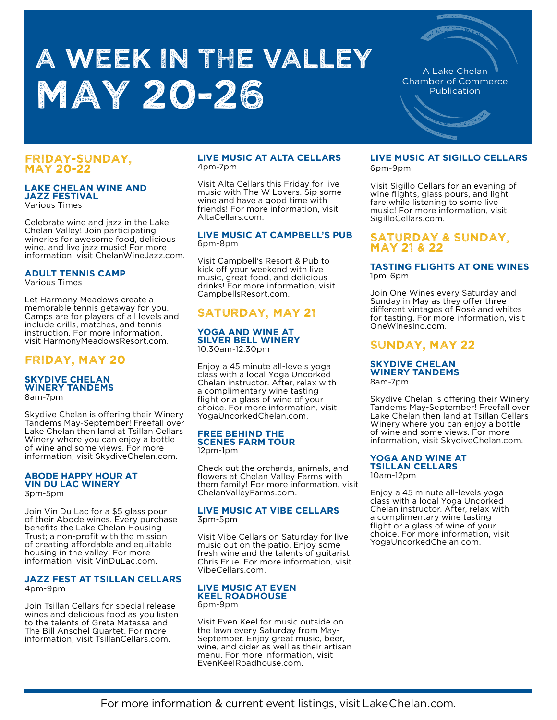# A WEEK IN THE VALLEY **MAY 20-26**

A Lake Chelan Chamber of Commerce Publication

## FRIDAY-SUNDAY, MAY 20-22

#### **LAKE CHELAN WINE AND JAZZ FESTIVAL**  Various Times

Celebrate wine and jazz in the Lake Chelan Valley! Join participating wineries for awesome food, delicious wine, and live jazz music! For more information, visit ChelanWineJazz.com.

### **ADULT TENNIS CAMP** Various Times

Let Harmony Meadows create a memorable tennis getaway for you. Camps are for players of all levels and include drills, matches, and tennis instruction. For more information,

visit HarmonyMeadowsResort.com.

# FRIDAY, MAY 20

## **SKYDIVE CHELAN WINERY TANDEMS** 8am-7pm

Skydive Chelan is offering their Winery Tandems May-September! Freefall over Lake Chelan then land at Tsillan Cellars Winery where you can enjoy a bottle of wine and some views. For more information, visit SkydiveChelan.com.

## **ABODE HAPPY HOUR AT VIN DU LAC WINERY**

3pm-5pm

Join Vin Du Lac for a \$5 glass pour of their Abode wines. Every purchase benefits the Lake Chelan Housing Trust; a non-profit with the mission of creating affordable and equitable housing in the valley! For more information, visit VinDuLac.com.

### **JAZZ FEST AT TSILLAN CELLARS**  4pm-9pm

Join Tsillan Cellars for special release wines and delicious food as you listen to the talents of Greta Matassa and The Bill Anschel Quartet. For more information, visit TsillanCellars.com.

## **LIVE MUSIC AT ALTA CELLARS**  4pm-7pm

Visit Alta Cellars this Friday for live music with The W Lovers. Sip some wine and have a good time with friends! For more information, visit AltaCellars.com.

## **LIVE MUSIC AT CAMPBELL'S PUB** 6pm-8pm

Visit Campbell's Resort & Pub to kick off your weekend with live music, great food, and delicious drinks! For more information, visit CampbellsResort.com.

# SATURDAY, MAY 21

## **YOGA AND WINE AT SILVER BELL WINERY**  10:30am-12:30pm

Enjoy a 45 minute all-levels yoga class with a local Yoga Uncorked Chelan instructor. After, relax with a complimentary wine tasting flight or a glass of wine of your choice. For more information, visit YogaUncorkedChelan.com.

## **FREE BEHIND THE SCENES FARM TOUR**

12pm-1pm

Check out the orchards, animals, and flowers at Chelan Valley Farms with them family! For more information, visit ChelanValleyFarms.com.

## **LIVE MUSIC AT VIBE CELLARS**  3pm-5pm

Visit Vibe Cellars on Saturday for live music out on the patio. Enjoy some fresh wine and the talents of guitarist Chris Frue. For more information, visit VibeCellars.com.

#### **LIVE MUSIC AT EVEN KEEL ROADHOUSE**  6pm-9pm

Visit Even Keel for music outside on the lawn every Saturday from May-September. Enjoy great music, beer, wine, and cider as well as their artisan menu. For more information, visit EvenKeelRoadhouse.com.

# **LIVE MUSIC AT SIGILLO CELLARS**

6pm-9pm

Visit Sigillo Cellars for an evening of wine flights, glass pours, and light fare while listening to some live music! For more information, visit SigilloCellars.com.

## SATURDAY & SUNDAY, MAY 21 & 22

## **TASTING FLIGHTS AT ONE WINES**  1pm-6pm

Join One Wines every Saturday and Sunday in May as they offer three different vintages of Rosé and whites for tasting. For more information, visit OneWinesInc.com.

# SUNDAY, MAY 22

## **SKYDIVE CHELAN WINERY TANDEMS** 8am-7pm

Skydive Chelan is offering their Winery Tandems May-September! Freefall over Lake Chelan then land at Tsillan Cellars Winery where you can enjoy a bottle of wine and some views. For more information, visit SkydiveChelan.com.

# **YOGA AND WINE AT**

**TSILLAN CELLARS**  10am-12pm

Enjoy a 45 minute all-levels yoga class with a local Yoga Uncorked Chelan instructor. After, relax with a complimentary wine tasting flight or a glass of wine of your choice. For more information, visit YogaUncorkedChelan.com.